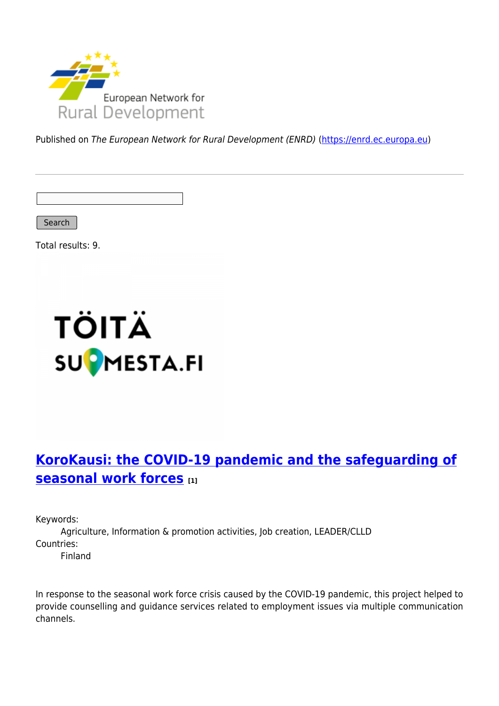

Published on The European Network for Rural Development (ENRD) [\(https://enrd.ec.europa.eu](https://enrd.ec.europa.eu))

Search

Total results: 9.



## **[KoroKausi: the COVID-19 pandemic and the safeguarding of](https://enrd.ec.europa.eu/projects-practice/korokausi-covid-19-pandemic-and-safeguarding-seasonal-work-forces_en) [seasonal work forces](https://enrd.ec.europa.eu/projects-practice/korokausi-covid-19-pandemic-and-safeguarding-seasonal-work-forces_en) [1]**

Keywords:

Agriculture, Information & promotion activities, Job creation, LEADER/CLLD Countries:

Finland

In response to the seasonal work force crisis caused by the COVID-19 pandemic, this project helped to provide counselling and guidance services related to employment issues via multiple communication channels.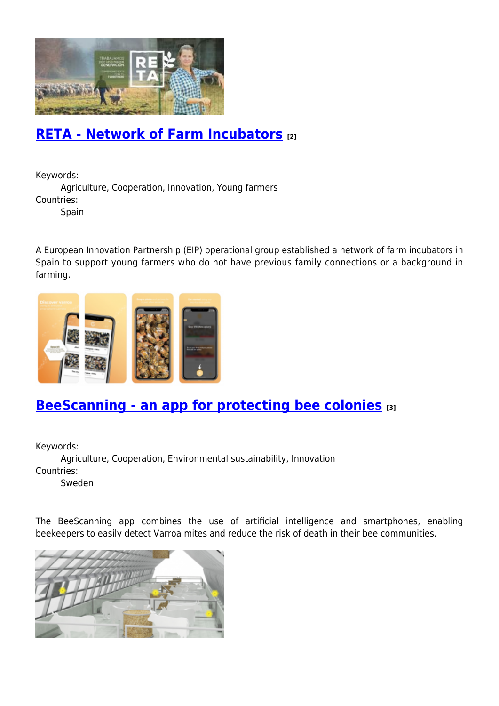

#### **[RETA - Network of Farm Incubators](https://enrd.ec.europa.eu/projects-practice/reta-network-farm-incubators_en) [2]**

Keywords:

Agriculture, Cooperation, Innovation, Young farmers Countries:

**Spain** 

A European Innovation Partnership (EIP) operational group established a network of farm incubators in Spain to support young farmers who do not have previous family connections or a background in farming.



### **[BeeScanning - an app for protecting bee colonies](https://enrd.ec.europa.eu/projects-practice/beescanning-app-protecting-bee-colonies_en) [3]**

Keywords:

Agriculture, Cooperation, Environmental sustainability, Innovation Countries:

Sweden

The BeeScanning app combines the use of artificial intelligence and smartphones, enabling beekeepers to easily detect Varroa mites and reduce the risk of death in their bee communities.

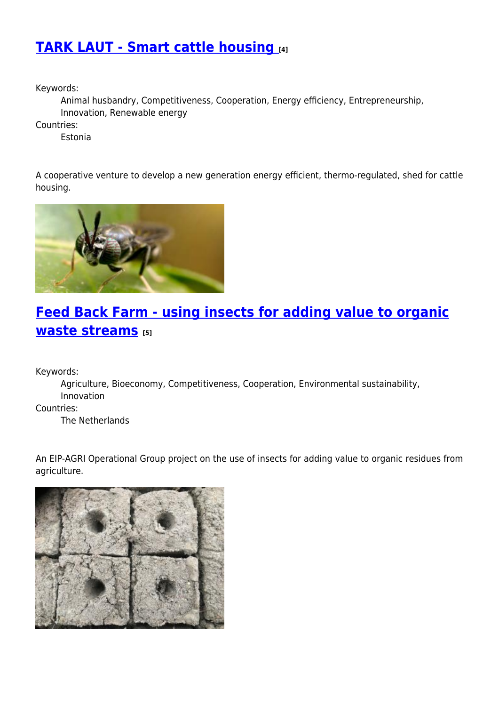### **[TARK LAUT - Smart cattle housing](https://enrd.ec.europa.eu/projects-practice/tark-laut-smart-cattle-housing_en) [4]**

Keywords:

Animal husbandry, Competitiveness, Cooperation, Energy efficiency, Entrepreneurship, Innovation, Renewable energy

Countries:

Estonia

A cooperative venture to develop a new generation energy efficient, thermo-regulated, shed for cattle housing.



# **[Feed Back Farm - using insects for adding value to organic](https://enrd.ec.europa.eu/projects-practice/feed-back-farm-using-insects-adding-value-organic-waste-streams_en) [waste streams](https://enrd.ec.europa.eu/projects-practice/feed-back-farm-using-insects-adding-value-organic-waste-streams_en) [5]**

Keywords:

Agriculture, Bioeconomy, Competitiveness, Cooperation, Environmental sustainability, Innovation

Countries:

The Netherlands

An EIP-AGRI Operational Group project on the use of insects for adding value to organic residues from agriculture.

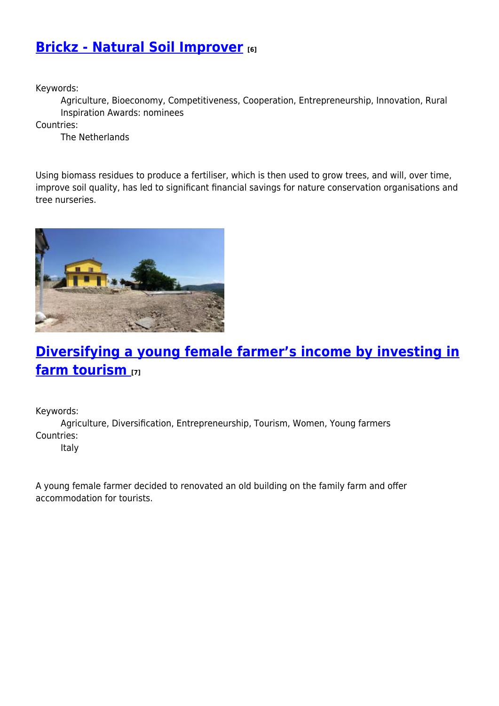## **[Brickz - Natural Soil Improver](https://enrd.ec.europa.eu/projects-practice/brickz-natural-soil-improver_en) [6]**

Keywords:

Agriculture, Bioeconomy, Competitiveness, Cooperation, Entrepreneurship, Innovation, Rural Inspiration Awards: nominees

Countries:

The Netherlands

Using biomass residues to produce a fertiliser, which is then used to grow trees, and will, over time, improve soil quality, has led to significant financial savings for nature conservation organisations and tree nurseries.



## **[Diversifying a young female farmer's income by investing in](https://enrd.ec.europa.eu/projects-practice/diversifying-young-female-farmers-income-investing-farm-tourism_en) [farm tourism](https://enrd.ec.europa.eu/projects-practice/diversifying-young-female-farmers-income-investing-farm-tourism_en) [7]**

Keywords:

Agriculture, Diversification, Entrepreneurship, Tourism, Women, Young farmers Countries:

Italy

A young female farmer decided to renovated an old building on the family farm and offer accommodation for tourists.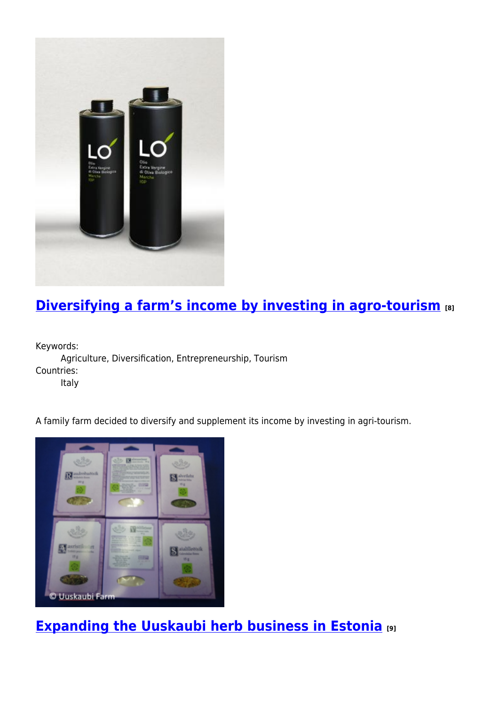

# **[Diversifying a farm's income by investing in agro-tourism](https://enrd.ec.europa.eu/projects-practice/diversifying-farms-income-investing-agro-tourism_en) [8]**

Keywords:

Agriculture, Diversification, Entrepreneurship, Tourism Countries:

Italy

A family farm decided to diversify and supplement its income by investing in agri-tourism.



**[Expanding the Uuskaubi herb business in Estonia](https://enrd.ec.europa.eu/projects-practice/expanding-uuskaubi-herb-business-estonia_en) [9]**